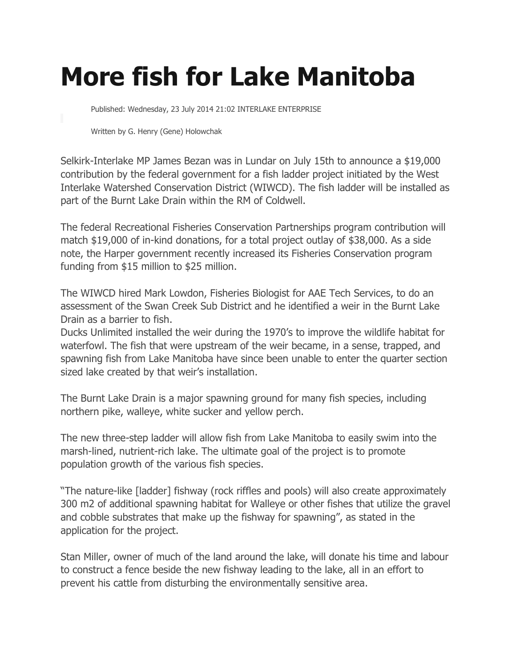## **More fish for Lake Manitoba**

Published: Wednesday, 23 July 2014 21:02 INTERLAKE ENTERPRISE

Written by G. Henry (Gene) Holowchak

Selkirk-Interlake MP James Bezan was in Lundar on July 15th to announce a \$19,000 contribution by the federal government for a fish ladder project initiated by the West Interlake Watershed Conservation District (WIWCD). The fish ladder will be installed as part of the Burnt Lake Drain within the RM of Coldwell.

The federal Recreational Fisheries Conservation Partnerships program contribution will match \$19,000 of in-kind donations, for a total project outlay of \$38,000. As a side note, the Harper government recently increased its Fisheries Conservation program funding from \$15 million to \$25 million.

The WIWCD hired Mark Lowdon, Fisheries Biologist for AAE Tech Services, to do an assessment of the Swan Creek Sub District and he identified a weir in the Burnt Lake Drain as a barrier to fish.

Ducks Unlimited installed the weir during the 1970's to improve the wildlife habitat for waterfowl. The fish that were upstream of the weir became, in a sense, trapped, and spawning fish from Lake Manitoba have since been unable to enter the quarter section sized lake created by that weir's installation.

The Burnt Lake Drain is a major spawning ground for many fish species, including northern pike, walleye, white sucker and yellow perch.

The new three-step ladder will allow fish from Lake Manitoba to easily swim into the marsh-lined, nutrient-rich lake. The ultimate goal of the project is to promote population growth of the various fish species.

"The nature-like [ladder] fishway (rock riffles and pools) will also create approximately 300 m2 of additional spawning habitat for Walleye or other fishes that utilize the gravel and cobble substrates that make up the fishway for spawning", as stated in the application for the project.

Stan Miller, owner of much of the land around the lake, will donate his time and labour to construct a fence beside the new fishway leading to the lake, all in an effort to prevent his cattle from disturbing the environmentally sensitive area.